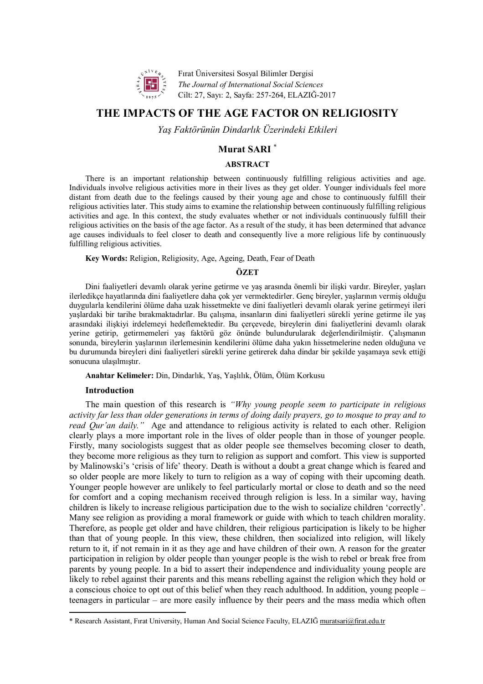

Fırat Üniversitesi Sosyal Bilimler Dergisi *The Journal of International Social Sciences*  Cilt: 27, Sayı: 2, Sayfa: 257-264, ELAZIĞ-2017

# **THE IMPACTS OF THE AGE FACTOR ON RELIGIOSITY**

*Yaş Faktörünün Dindarlık Üzerindeki Etkileri*

# **Murat SARI** \*

## **ABSTRACT**

There is an important relationship between continuously fulfilling religious activities and age. Individuals involve religious activities more in their lives as they get older. Younger individuals feel more distant from death due to the feelings caused by their young age and chose to continuously fulfill their religious activities later. This study aims to examine the relationship between continuously fulfilling religious activities and age. In this context, the study evaluates whether or not individuals continuously fulfill their religious activities on the basis of the age factor. As a result of the study, it has been determined that advance age causes individuals to feel closer to death and consequently live a more religious life by continuously fulfilling religious activities.

**Key Words:** Religion, Religiosity, Age, Ageing, Death, Fear of Death

## **ÖZET**

Dini faaliyetleri devamlı olarak yerine getirme ve yaş arasında önemli bir ilişki vardır. Bireyler, yaşları ilerledikçe hayatlarında dini faaliyetlere daha çok yer vermektedirler. Genç bireyler, yaşlarının vermiş olduğu duygularla kendilerini ölüme daha uzak hissetmekte ve dini faaliyetleri devamlı olarak yerine getirmeyi ileri yaşlardaki bir tarihe bırakmaktadırlar. Bu çalışma, insanların dini faaliyetleri sürekli yerine getirme ile yaş arasındaki ilişkiyi irdelemeyi hedeflemektedir. Bu çerçevede, bireylerin dini faaliyetlerini devamlı olarak yerine getirip, getirmemeleri yaş faktörü göz önünde bulundurularak değerlendirilmiştir. Çalışmanın sonunda, bireylerin yaşlarının ilerlemesinin kendilerini ölüme daha yakın hissetmelerine neden olduğuna ve bu durumunda bireyleri dini faaliyetleri sürekli yerine getirerek daha dindar bir şekilde yaşamaya sevk ettiği sonucuna ulaşılmıştır.

**Anahtar Kelimeler:** Din, Dindarlık, Yaş, Yaşlılık, Ölüm, Ölüm Korkusu

## **Introduction**

 $\overline{\phantom{a}}$ 

The main question of this research is *"Why young people seem to participate in religious activity far less than older generations in terms of doing daily prayers, go to mosque to pray and to read Qur'an daily."* Age and attendance to religious activity is related to each other. Religion clearly plays a more important role in the lives of older people than in those of younger people. Firstly, many sociologists suggest that as older people see themselves becoming closer to death, they become more religious as they turn to religion as support and comfort. This view is supported by Malinowski's 'crisis of life' theory. Death is without a doubt a great change which is feared and so older people are more likely to turn to religion as a way of coping with their upcoming death. Younger people however are unlikely to feel particularly mortal or close to death and so the need for comfort and a coping mechanism received through religion is less. In a similar way, having children is likely to increase religious participation due to the wish to socialize children 'correctly'. Many see religion as providing a moral framework or guide with which to teach children morality. Therefore, as people get older and have children, their religious participation is likely to be higher than that of young people. In this view, these children, then socialized into religion, will likely return to it, if not remain in it as they age and have children of their own. A reason for the greater participation in religion by older people than younger people is the wish to rebel or break free from parents by young people. In a bid to assert their independence and individuality young people are likely to rebel against their parents and this means rebelling against the religion which they hold or a conscious choice to opt out of this belief when they reach adulthood. In addition, young people – teenagers in particular – are more easily influence by their peers and the mass media which often

<sup>\*</sup> Research Assistant, Fırat University, Human And Social Science Faculty, ELAZIĞ muratsari@firat.edu.tr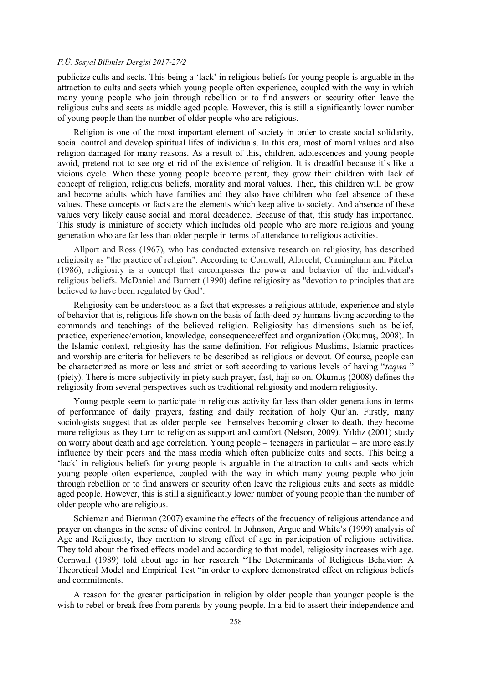publicize cults and sects. This being a 'lack' in religious beliefs for young people is arguable in the attraction to cults and sects which young people often experience, coupled with the way in which many young people who join through rebellion or to find answers or security often leave the religious cults and sects as middle aged people. However, this is still a significantly lower number of young people than the number of older people who are religious.

Religion is one of the most important element of society in order to create social solidarity, social control and develop spiritual lifes of individuals. In this era, most of moral values and also religion damaged for many reasons. As a result of this, children, adolescences and young people avoid, pretend not to see org et rid of the existence of religion. It is dreadful because it's like a vicious cycle. When these young people become parent, they grow their children with lack of concept of religion, religious beliefs, morality and moral values. Then, this children will be grow and become adults which have families and they also have children who feel absence of these values. These concepts or facts are the elements which keep alive to society. And absence of these values very likely cause social and moral decadence. Because of that, this study has importance. This study is miniature of society which includes old people who are more religious and young generation who are far less than older people in terms of attendance to religious activities.

Allport and Ross (1967), who has conducted extensive research on religiosity, has described religiosity as "the practice of religion". According to Cornwall, Albrecht, Cunningham and Pitcher (1986), religiosity is a concept that encompasses the power and behavior of the individual's religious beliefs. McDaniel and Burnett (1990) define religiosity as "devotion to principles that are believed to have been regulated by God".

Religiosity can be understood as a fact that expresses a religious attitude, experience and style of behavior that is, religious life shown on the basis of faith-deed by humans living according to the commands and teachings of the believed religion. Religiosity has dimensions such as belief, practice, experience/emotion, knowledge, consequence/effect and organization (Okumuş, 2008). In the Islamic context, religiosity has the same definition. For religious Muslims, Islamic practices and worship are criteria for believers to be described as religious or devout. Of course, people can be characterized as more or less and strict or soft according to various levels of having "*taqwa* " (piety). There is more subjectivity in piety such prayer, fast, hajj so on. Okumuş (2008) defines the religiosity from several perspectives such as traditional religiosity and modern religiosity.

Young people seem to participate in religious activity far less than older generations in terms of performance of daily prayers, fasting and daily recitation of holy Qur'an. Firstly, many sociologists suggest that as older people see themselves becoming closer to death, they become more religious as they turn to religion as support and comfort (Nelson, 2009). Yıldız (2001) study on worry about death and age correlation. Young people – teenagers in particular – are more easily influence by their peers and the mass media which often publicize cults and sects. This being a 'lack' in religious beliefs for young people is arguable in the attraction to cults and sects which young people often experience, coupled with the way in which many young people who join through rebellion or to find answers or security often leave the religious cults and sects as middle aged people. However, this is still a significantly lower number of young people than the number of older people who are religious.

Schieman and Bierman (2007) examine the effects of the frequency of religious attendance and prayer on changes in the sense of divine control. In Johnson, Argue and White's (1999) analysis of Age and Religiosity, they mention to strong effect of age in participation of religious activities. They told about the fixed effects model and according to that model, religiosity increases with age. Cornwall (1989) told about age in her research "The Determinants of Religious Behavior: A Theoretical Model and Empirical Test "in order to explore demonstrated effect on religious beliefs and commitments.

A reason for the greater participation in religion by older people than younger people is the wish to rebel or break free from parents by young people. In a bid to assert their independence and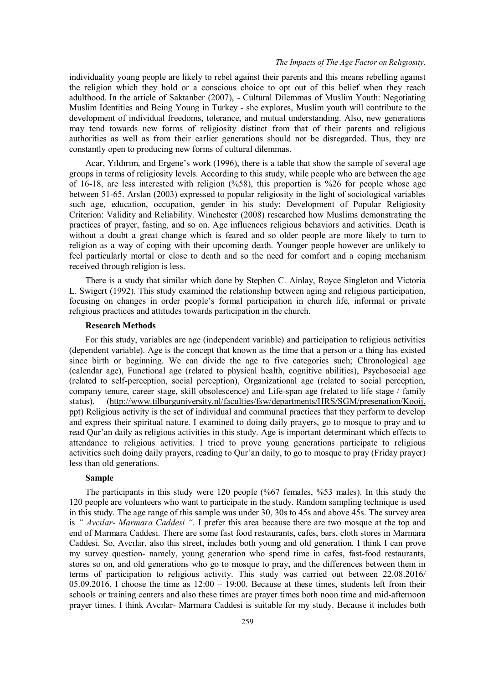## *The Impacts of The Age Factor on Relıgıosıty.*

individuality young people are likely to rebel against their parents and this means rebelling against the religion which they hold or a conscious choice to opt out of this belief when they reach adulthood. In the article of Saktanber (2007), - Cultural Dilemmas of Muslim Youth: Negotiating Muslim Identities and Being Young in Turkey - she explores, Muslim youth will contribute to the development of individual freedoms, tolerance, and mutual understanding. Also, new generations may tend towards new forms of religiosity distinct from that of their parents and religious authorities as well as from their earlier generations should not be disregarded. Thus, they are constantly open to producing new forms of cultural dilemmas.

Acar, Yıldırım, and Ergene's work (1996), there is a table that show the sample of several age groups in terms of religiosity levels. According to this study, while people who are between the age of 16-18, are less interested with religion  $(\frac{658}{6})$ , this proportion is  $\frac{6}{26}$  for people whose age between 51-65. Arslan (2003) expressed to popular religiosity in the light of sociological variables such age, education, occupation, gender in his study: Development of Popular Religiosity Criterion: Validity and Reliability. Winchester (2008) researched how Muslims demonstrating the practices of prayer, fasting, and so on. Age influences religious behaviors and activities. Death is without a doubt a great change which is feared and so older people are more likely to turn to religion as a way of coping with their upcoming death. Younger people however are unlikely to feel particularly mortal or close to death and so the need for comfort and a coping mechanism received through religion is less.

There is a study that similar which done by Stephen C. Ainlay, Royce Singleton and Victoria L. Swigert (1992). This study examined the relationship between aging and religious participation, focusing on changes in order people's formal participation in church life, informal or private religious practices and attitudes towards participation in the church.

#### **Research Methods**

For this study, variables are age (independent variable) and participation to religious activities (dependent variable). Age is the concept that known as the time that a person or a thing has existed since birth or beginning. We can divide the age to five categories such; Chronological age (calendar age), Functional age (related to physical health, cognitive abilities), Psychosocial age (related to self-perception, social perception), Organizational age (related to social perception, company tenure, career stage, skill obsolescence) and Life-span age (related to life stage / family status). (http://www.tilburguniversity.nl/faculties/fsw/departments/HRS/SGM/presenation/Kooij. ppt) Religious activity is the set of individual and communal practices that they perform to develop and express their spiritual nature. I examined to doing daily prayers, go to mosque to pray and to read Qur'an daily as religious activities in this study. Age is important determinant which effects to attendance to religious activities. I tried to prove young generations participate to religious activities such doing daily prayers, reading to Qur'an daily, to go to mosque to pray (Friday prayer) less than old generations.

#### **Sample**

The participants in this study were 120 people (%67 females, %53 males). In this study the 120 people are volunteers who want to participate in the study. Random sampling technique is used in this study. The age range of this sample was under 30, 30s to 45s and above 45s. The survey area is *" Avcılar- Marmara Caddesi ".* I prefer this area because there are two mosque at the top and end of Marmara Caddesi. There are some fast food restaurants, cafes, bars, cloth stores in Marmara Caddesi. So, Avcılar, also this street, includes both young and old generation. I think I can prove my survey question- namely, young generation who spend time in cafes, fast-food restaurants, stores so on, and old generations who go to mosque to pray, and the differences between them in terms of participation to religious activity. This study was carried out between 22.08.2016/ 05.09.2016. I choose the time as  $12:00 - 19:00$ . Because at these times, students left from their schools or training centers and also these times are prayer times both noon time and mid-afternoon prayer times. I think Avcılar- Marmara Caddesi is suitable for my study. Because it includes both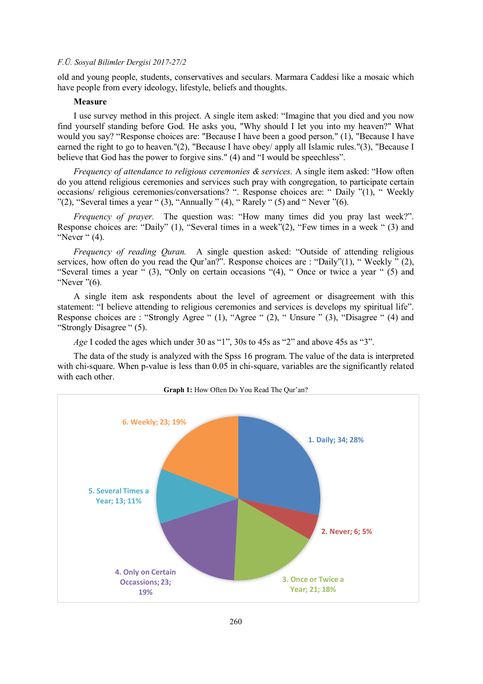old and young people, students, conservatives and seculars. Marmara Caddesi like a mosaic which have people from every ideology, lifestyle, beliefs and thoughts.

# **Measure**

I use survey method in this project. A single item asked: "Imagine that you died and you now find yourself standing before God. He asks you, "Why should I let you into my heaven?" What would you say? "Response choices are: "Because I have been a good person." (1), "Because I have earned the right to go to heaven."(2), "Because I have obey/ apply all Islamic rules."(3), "Because I believe that God has the power to forgive sins." (4) and "I would be speechless".

*Frequency of attendance to religious ceremonies & services.* A single item asked: "How often do you attend religious ceremonies and services such pray with congregation, to participate certain occasions/ religious ceremonies/conversations? ". Response choices are: " Daily "(1), " Weekly  $"$ (2), "Several times a year " (3), "Annually  $"$  (4), "Rarely " (5) and "Never  $"$  (6).

*Frequency of prayer.* The question was: "How many times did you pray last week?". Response choices are: "Daily" (1), "Several times in a week"(2), "Few times in a week " (3) and "Never " (4).

*Frequency of reading Quran.* A single question asked: "Outside of attending religious services, how often do you read the Qur'an?". Response choices are : "Daily"(1), "Weekly " (2), "Several times a year " (3), "Only on certain occasions "(4), " Once or twice a year " (5) and "Never "(6).

A single item ask respondents about the level of agreement or disagreement with this statement: "I believe attending to religious ceremonies and services is develops my spiritual life". Response choices are : "Strongly Agree " (1), "Agree " (2), " Unsure " (3), "Disagree " (4) and "Strongly Disagree " (5).

*Age* I coded the ages which under 30 as "1", 30s to 45s as "2" and above 45s as "3".

The data of the study is analyzed with the Spss 16 program. The value of the data is interpreted with chi-square. When p-value is less than 0.05 in chi-square, variables are the significantly related with each other.

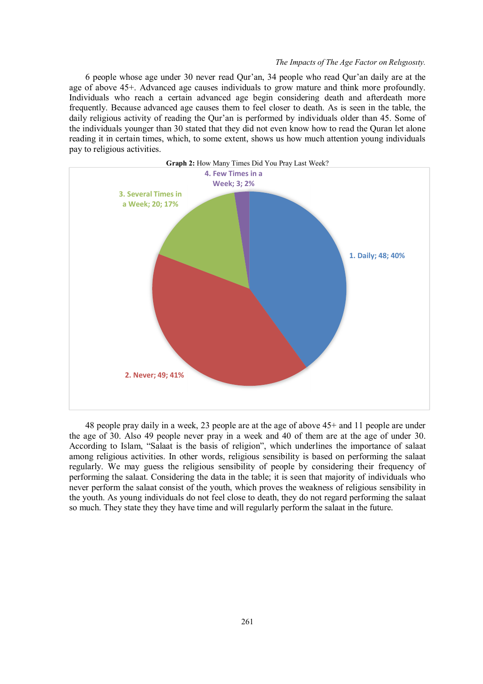#### *The Impacts of The Age Factor on Relıgıosıty.*

6 people whose age under 30 never read Qur'an, 34 people who read Qur'an daily are at the age of above 45+. Advanced age causes individuals to grow mature and think more profoundly. Individuals who reach a certain advanced age begin considering death and afterdeath more frequently. Because advanced age causes them to feel closer to death. As is seen in the table, the daily religious activity of reading the Qur'an is performed by individuals older than 45. Some of the individuals younger than 30 stated that they did not even know how to read the Quran let alone reading it in certain times, which, to some extent, shows us how much attention young individuals pay to religious activities.



48 people pray daily in a week, 23 people are at the age of above 45+ and 11 people are under the age of 30. Also 49 people never pray in a week and 40 of them are at the age of under 30. According to Islam, "Salaat is the basis of religion", which underlines the importance of salaat among religious activities. In other words, religious sensibility is based on performing the salaat regularly. We may guess the religious sensibility of people by considering their frequency of performing the salaat. Considering the data in the table; it is seen that majority of individuals who never perform the salaat consist of the youth, which proves the weakness of religious sensibility in the youth. As young individuals do not feel close to death, they do not regard performing the salaat so much. They state they they have time and will regularly perform the salaat in the future.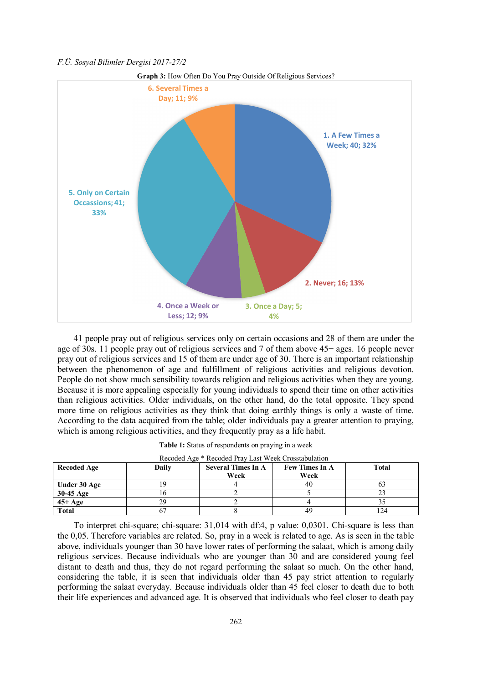

41 people pray out of religious services only on certain occasions and 28 of them are under the age of 30s. 11 people pray out of religious services and 7 of them above 45+ ages. 16 people never pray out of religious services and 15 of them are under age of 30. There is an important relationship between the phenomenon of age and fulfillment of religious activities and religious devotion. People do not show much sensibility towards religion and religious activities when they are young. Because it is more appealing especially for young individuals to spend their time on other activities than religious activities. Older individuals, on the other hand, do the total opposite. They spend more time on religious activities as they think that doing earthly things is only a waste of time. According to the data acquired from the table; older individuals pay a greater attention to praying, which is among religious activities, and they frequently pray as a life habit.

| Table 1: Status of respondents on praying in a week |  |  |  |  |
|-----------------------------------------------------|--|--|--|--|
|                                                     |  |  |  |  |

| <b>Recoded Age</b> | Daily | <b>Several Times In A</b> | <b>Few Times In A</b> | Total |  |
|--------------------|-------|---------------------------|-----------------------|-------|--|
|                    |       | Week                      | Week                  |       |  |
| Under 30 Age       | 9     |                           | 40                    |       |  |
| $30-45$ Age        |       |                           |                       |       |  |
| $45+Age$           | 29    |                           |                       |       |  |
| <b>Total</b>       |       |                           | 49                    | 24    |  |

Recoded Age \* Recoded Pray Last Week Crosstabulation

To interpret chi-square; chi-square: 31,014 with df:4, p value: 0,0301. Chi-square is less than the 0,05. Therefore variables are related. So, pray in a week is related to age. As is seen in the table above, individuals younger than 30 have lower rates of performing the salaat, which is among daily religious services. Because individuals who are younger than 30 and are considered young feel distant to death and thus, they do not regard performing the salaat so much. On the other hand, considering the table, it is seen that individuals older than 45 pay strict attention to regularly performing the salaat everyday. Because individuals older than 45 feel closer to death due to both their life experiences and advanced age. It is observed that individuals who feel closer to death pay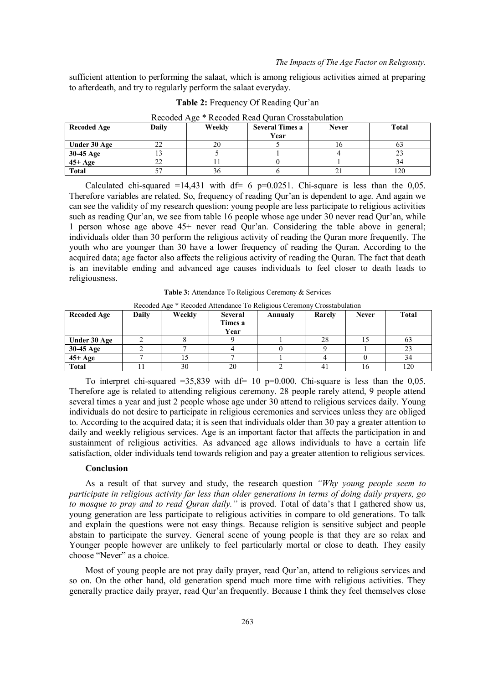sufficient attention to performing the salaat, which is among religious activities aimed at preparing to afterdeath, and try to regularly perform the salaat everyday.

| <b>Recoded Age</b> | Daily | Weekly | <b>Several Times a</b><br>Year | <b>Never</b> | <b>Total</b> |
|--------------------|-------|--------|--------------------------------|--------------|--------------|
| Under 30 Age       | ∠∠    | ZU     |                                |              | O.           |
| 30-45 Age          |       |        |                                |              |              |
| $45+Age$           |       |        |                                |              |              |
| <b>Total</b>       |       | 20     |                                | ∠⊥           | 120          |

**Table 2:** Frequency Of Reading Qur'an

Calculated chi-squared =14,431 with df=  $6$  p=0.0251. Chi-square is less than the 0,05. Therefore variables are related. So, frequency of reading Qur'an is dependent to age. And again we can see the validity of my research question: young people are less participate to religious activities such as reading Qur'an, we see from table 16 people whose age under 30 never read Qur'an, while 1 person whose age above 45+ never read Qur'an. Considering the table above in general; individuals older than 30 perform the religious activity of reading the Quran more frequently. The youth who are younger than 30 have a lower frequency of reading the Quran. According to the acquired data; age factor also affects the religious activity of reading the Quran. The fact that death is an inevitable ending and advanced age causes individuals to feel closer to death leads to religiousness.

**Table 3:** Attendance To Religious Ceremony & Services

| <b>Recoded Age</b> | Daily | Weekly | <b>Several</b><br>Times a<br>Year | Annualy | Rarely | <b>Never</b> | <b>Total</b> |
|--------------------|-------|--------|-----------------------------------|---------|--------|--------------|--------------|
| Under 30 Age       |       |        |                                   |         | 28     | IJ           | 63           |
| 30-45 Age          |       |        |                                   |         |        |              | 23           |
| $45+Age$           |       |        |                                   |         |        |              | 34           |
| <b>Total</b>       |       | 30     | 20                                |         |        | 16.          | 120          |

Recoded Age \* Recoded Attendance To Religious Ceremony Crosstabulation

To interpret chi-squared  $=35,839$  with df= 10 p=0.000. Chi-square is less than the 0,05. Therefore age is related to attending religious ceremony. 28 people rarely attend, 9 people attend several times a year and just 2 people whose age under 30 attend to religious services daily. Young individuals do not desire to participate in religious ceremonies and services unless they are obliged to. According to the acquired data; it is seen that individuals older than 30 pay a greater attention to daily and weekly religious services. Age is an important factor that affects the participation in and sustainment of religious activities. As advanced age allows individuals to have a certain life satisfaction, older individuals tend towards religion and pay a greater attention to religious services.

#### **Conclusion**

As a result of that survey and study, the research question *"Why young people seem to participate in religious activity far less than older generations in terms of doing daily prayers, go to mosque to pray and to read Quran daily."* is proved. Total of data's that I gathered show us, young generation are less participate to religious activities in compare to old generations. To talk and explain the questions were not easy things. Because religion is sensitive subject and people abstain to participate the survey. General scene of young people is that they are so relax and Younger people however are unlikely to feel particularly mortal or close to death. They easily choose "Never" as a choice.

Most of young people are not pray daily prayer, read Qur'an, attend to religious services and so on. On the other hand, old generation spend much more time with religious activities. They generally practice daily prayer, read Qur'an frequently. Because I think they feel themselves close